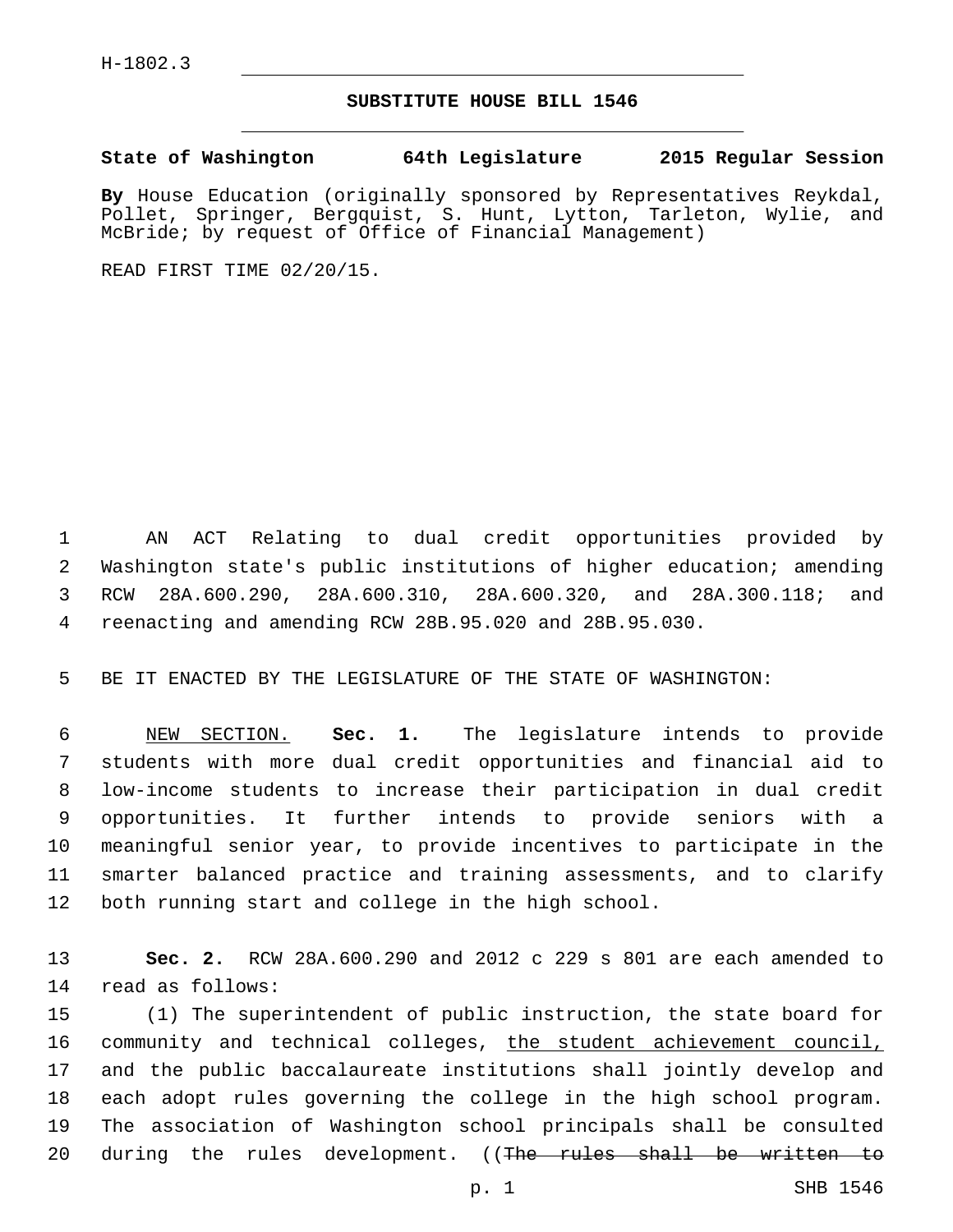## **SUBSTITUTE HOUSE BILL 1546**

**State of Washington 64th Legislature 2015 Regular Session**

**By** House Education (originally sponsored by Representatives Reykdal, Pollet, Springer, Bergquist, S. Hunt, Lytton, Tarleton, Wylie, and McBride; by request of Office of Financial Management)

READ FIRST TIME 02/20/15.

 AN ACT Relating to dual credit opportunities provided by Washington state's public institutions of higher education; amending RCW 28A.600.290, 28A.600.310, 28A.600.320, and 28A.300.118; and reenacting and amending RCW 28B.95.020 and 28B.95.030.

BE IT ENACTED BY THE LEGISLATURE OF THE STATE OF WASHINGTON:

 NEW SECTION. **Sec. 1.** The legislature intends to provide students with more dual credit opportunities and financial aid to low-income students to increase their participation in dual credit opportunities. It further intends to provide seniors with a meaningful senior year, to provide incentives to participate in the smarter balanced practice and training assessments, and to clarify both running start and college in the high school.

 **Sec. 2.** RCW 28A.600.290 and 2012 c 229 s 801 are each amended to read as follows:14

 (1) The superintendent of public instruction, the state board for 16 community and technical colleges, the student achievement council, and the public baccalaureate institutions shall jointly develop and each adopt rules governing the college in the high school program. The association of Washington school principals shall be consulted 20 during the rules development. ((The rules shall be written to

p. 1 SHB 1546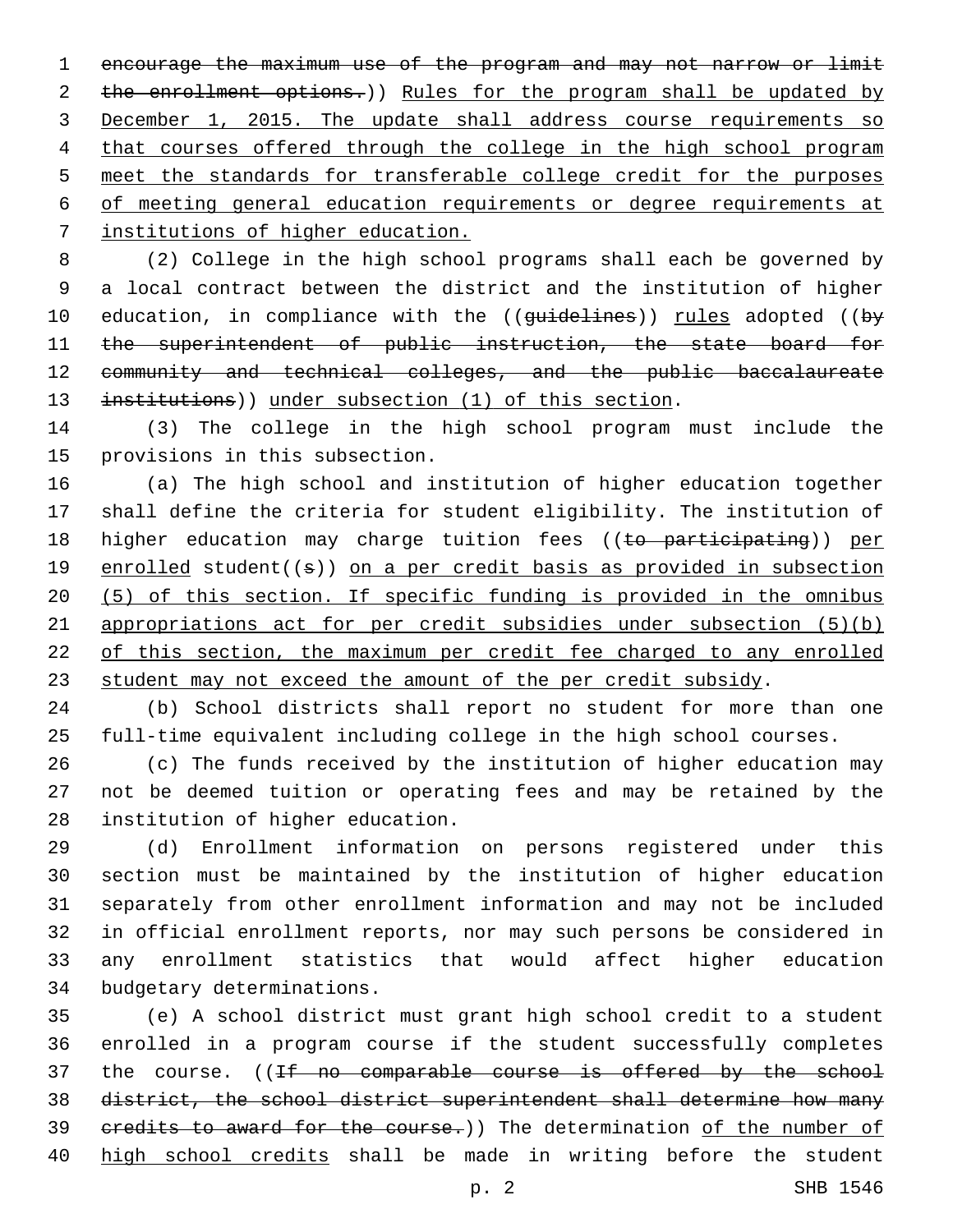encourage the maximum use of the program and may not narrow or limit 2 the enrollment options.)) Rules for the program shall be updated by December 1, 2015. The update shall address course requirements so 4 that courses offered through the college in the high school program meet the standards for transferable college credit for the purposes of meeting general education requirements or degree requirements at institutions of higher education.

 (2) College in the high school programs shall each be governed by a local contract between the district and the institution of higher 10 education, in compliance with the ((guidelines)) rules adopted ((by 11 the superintendent of public instruction, the state board for community and technical colleges, and the public baccalaureate 13 institutions)) under subsection (1) of this section.

 (3) The college in the high school program must include the 15 provisions in this subsection.

 (a) The high school and institution of higher education together shall define the criteria for student eligibility. The institution of 18 higher education may charge tuition fees ((to participating)) per 19 enrolled student((s)) on a per credit basis as provided in subsection (5) of this section. If specific funding is provided in the omnibus appropriations act for per credit subsidies under subsection (5)(b) of this section, the maximum per credit fee charged to any enrolled student may not exceed the amount of the per credit subsidy.

 (b) School districts shall report no student for more than one full-time equivalent including college in the high school courses.

 (c) The funds received by the institution of higher education may not be deemed tuition or operating fees and may be retained by the 28 institution of higher education.

 (d) Enrollment information on persons registered under this section must be maintained by the institution of higher education separately from other enrollment information and may not be included in official enrollment reports, nor may such persons be considered in any enrollment statistics that would affect higher education 34 budgetary determinations.

 (e) A school district must grant high school credit to a student enrolled in a program course if the student successfully completes 37 the course. ((If no comparable course is offered by the school district, the school district superintendent shall determine how many 39 credits to award for the course.)) The determination of the number of high school credits shall be made in writing before the student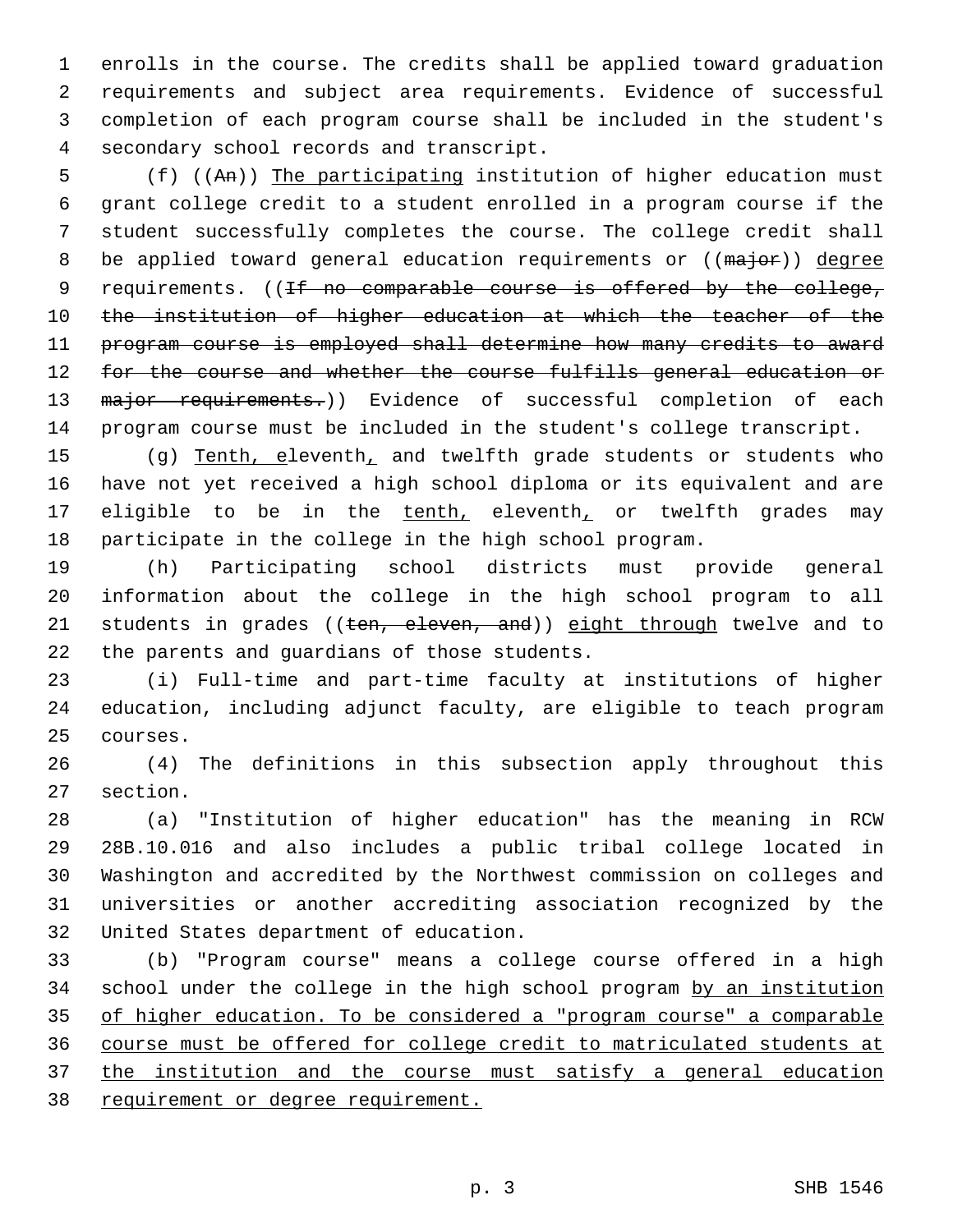enrolls in the course. The credits shall be applied toward graduation requirements and subject area requirements. Evidence of successful completion of each program course shall be included in the student's 4 secondary school records and transcript.

 (f) ((An)) The participating institution of higher education must grant college credit to a student enrolled in a program course if the student successfully completes the course. The college credit shall 8 be applied toward general education requirements or ((major)) degree 9 requirements. ((If no comparable course is offered by the college, 10 the institution of higher education at which the teacher of the program course is employed shall determine how many credits to award for the course and whether the course fulfills general education or 13 major requirements.)) Evidence of successful completion of each program course must be included in the student's college transcript.

15 (g) Tenth, eleventh, and twelfth grade students or students who have not yet received a high school diploma or its equivalent and are 17 eligible to be in the tenth, eleventh, or twelfth grades may participate in the college in the high school program.

 (h) Participating school districts must provide general information about the college in the high school program to all 21 students in grades ((ten, eleven, and)) eight through twelve and to 22 the parents and guardians of those students.

 (i) Full-time and part-time faculty at institutions of higher education, including adjunct faculty, are eligible to teach program 25 courses.

 (4) The definitions in this subsection apply throughout this 27 section.

 (a) "Institution of higher education" has the meaning in RCW 28B.10.016 and also includes a public tribal college located in Washington and accredited by the Northwest commission on colleges and universities or another accrediting association recognized by the 32 United States department of education.

 (b) "Program course" means a college course offered in a high school under the college in the high school program by an institution of higher education. To be considered a "program course" a comparable course must be offered for college credit to matriculated students at the institution and the course must satisfy a general education 38 requirement or degree requirement.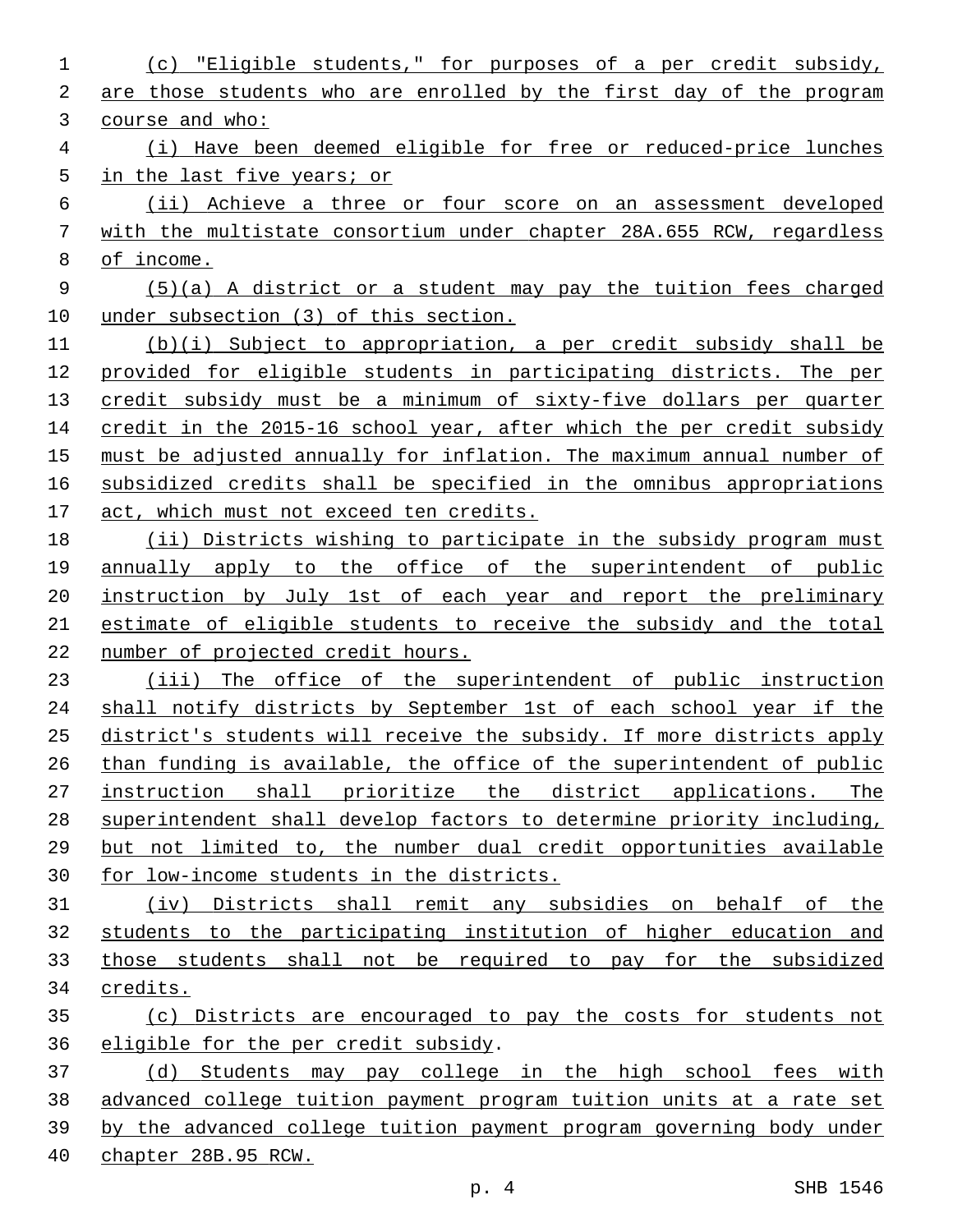(c) "Eligible students," for purposes of a per credit subsidy, 2 are those students who are enrolled by the first day of the program course and who: (i) Have been deemed eligible for free or reduced-price lunches 5 in the last five years; or (ii) Achieve a three or four score on an assessment developed with the multistate consortium under chapter 28A.655 RCW, regardless of income. (5)(a) A district or a student may pay the tuition fees charged under subsection (3) of this section. (b)(i) Subject to appropriation, a per credit subsidy shall be provided for eligible students in participating districts. The per credit subsidy must be a minimum of sixty-five dollars per quarter 14 credit in the 2015-16 school year, after which the per credit subsidy must be adjusted annually for inflation. The maximum annual number of subsidized credits shall be specified in the omnibus appropriations act, which must not exceed ten credits. (ii) Districts wishing to participate in the subsidy program must annually apply to the office of the superintendent of public instruction by July 1st of each year and report the preliminary estimate of eligible students to receive the subsidy and the total number of projected credit hours. (iii) The office of the superintendent of public instruction shall notify districts by September 1st of each school year if the district's students will receive the subsidy. If more districts apply than funding is available, the office of the superintendent of public 27 instruction shall prioritize the district applications. The superintendent shall develop factors to determine priority including, but not limited to, the number dual credit opportunities available for low-income students in the districts. (iv) Districts shall remit any subsidies on behalf of the students to the participating institution of higher education and those students shall not be required to pay for the subsidized credits. (c) Districts are encouraged to pay the costs for students not 36 eligible for the per credit subsidy. (d) Students may pay college in the high school fees with advanced college tuition payment program tuition units at a rate set by the advanced college tuition payment program governing body under chapter 28B.95 RCW.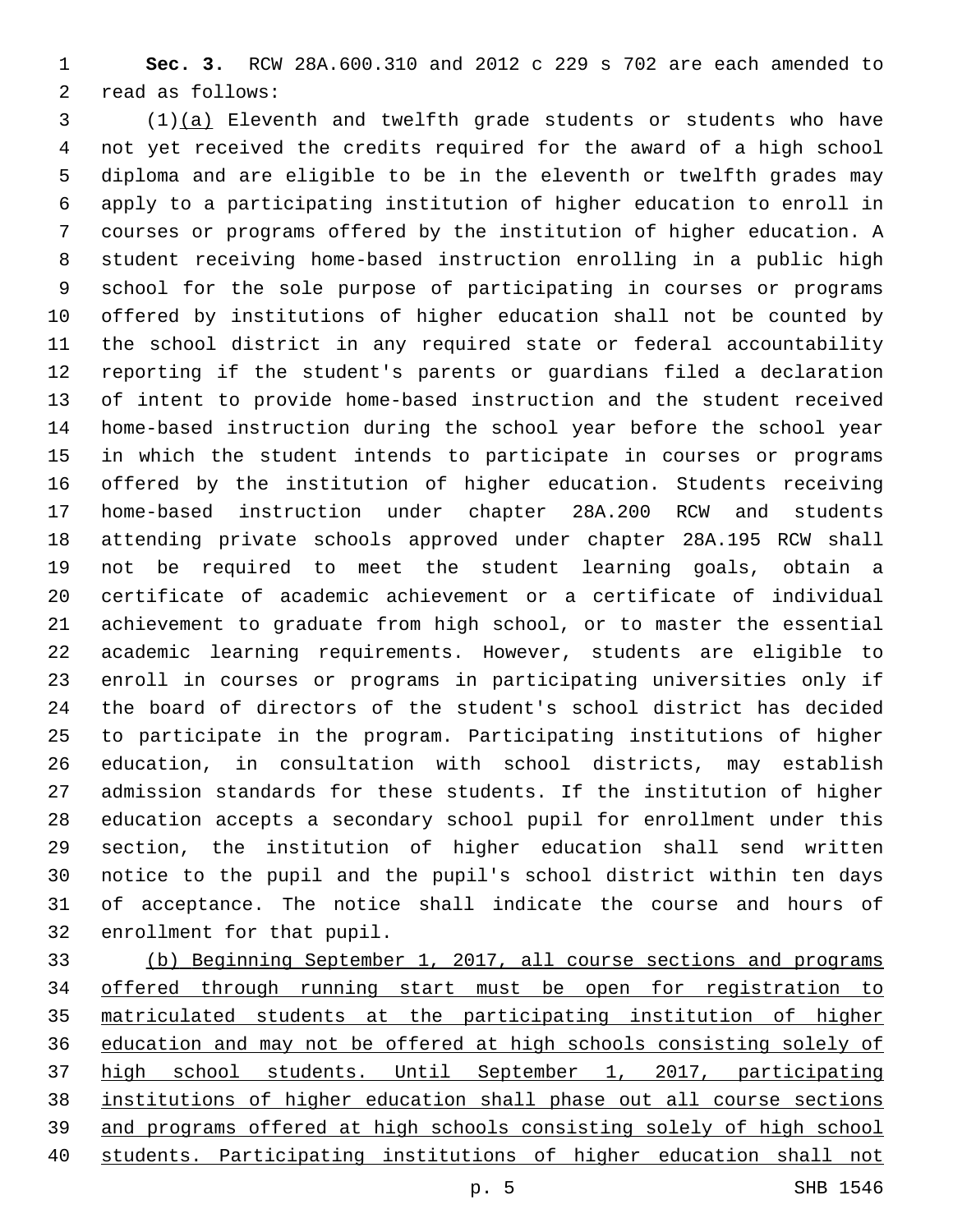**Sec. 3.** RCW 28A.600.310 and 2012 c 229 s 702 are each amended to 2 read as follows:

 (1)(a) Eleventh and twelfth grade students or students who have not yet received the credits required for the award of a high school diploma and are eligible to be in the eleventh or twelfth grades may apply to a participating institution of higher education to enroll in courses or programs offered by the institution of higher education. A student receiving home-based instruction enrolling in a public high school for the sole purpose of participating in courses or programs offered by institutions of higher education shall not be counted by the school district in any required state or federal accountability reporting if the student's parents or guardians filed a declaration of intent to provide home-based instruction and the student received home-based instruction during the school year before the school year in which the student intends to participate in courses or programs offered by the institution of higher education. Students receiving home-based instruction under chapter 28A.200 RCW and students attending private schools approved under chapter 28A.195 RCW shall not be required to meet the student learning goals, obtain a certificate of academic achievement or a certificate of individual achievement to graduate from high school, or to master the essential academic learning requirements. However, students are eligible to enroll in courses or programs in participating universities only if the board of directors of the student's school district has decided to participate in the program. Participating institutions of higher education, in consultation with school districts, may establish admission standards for these students. If the institution of higher education accepts a secondary school pupil for enrollment under this section, the institution of higher education shall send written notice to the pupil and the pupil's school district within ten days of acceptance. The notice shall indicate the course and hours of 32 enrollment for that pupil.

 (b) Beginning September 1, 2017, all course sections and programs offered through running start must be open for registration to matriculated students at the participating institution of higher education and may not be offered at high schools consisting solely of high school students. Until September 1, 2017, participating institutions of higher education shall phase out all course sections and programs offered at high schools consisting solely of high school students. Participating institutions of higher education shall not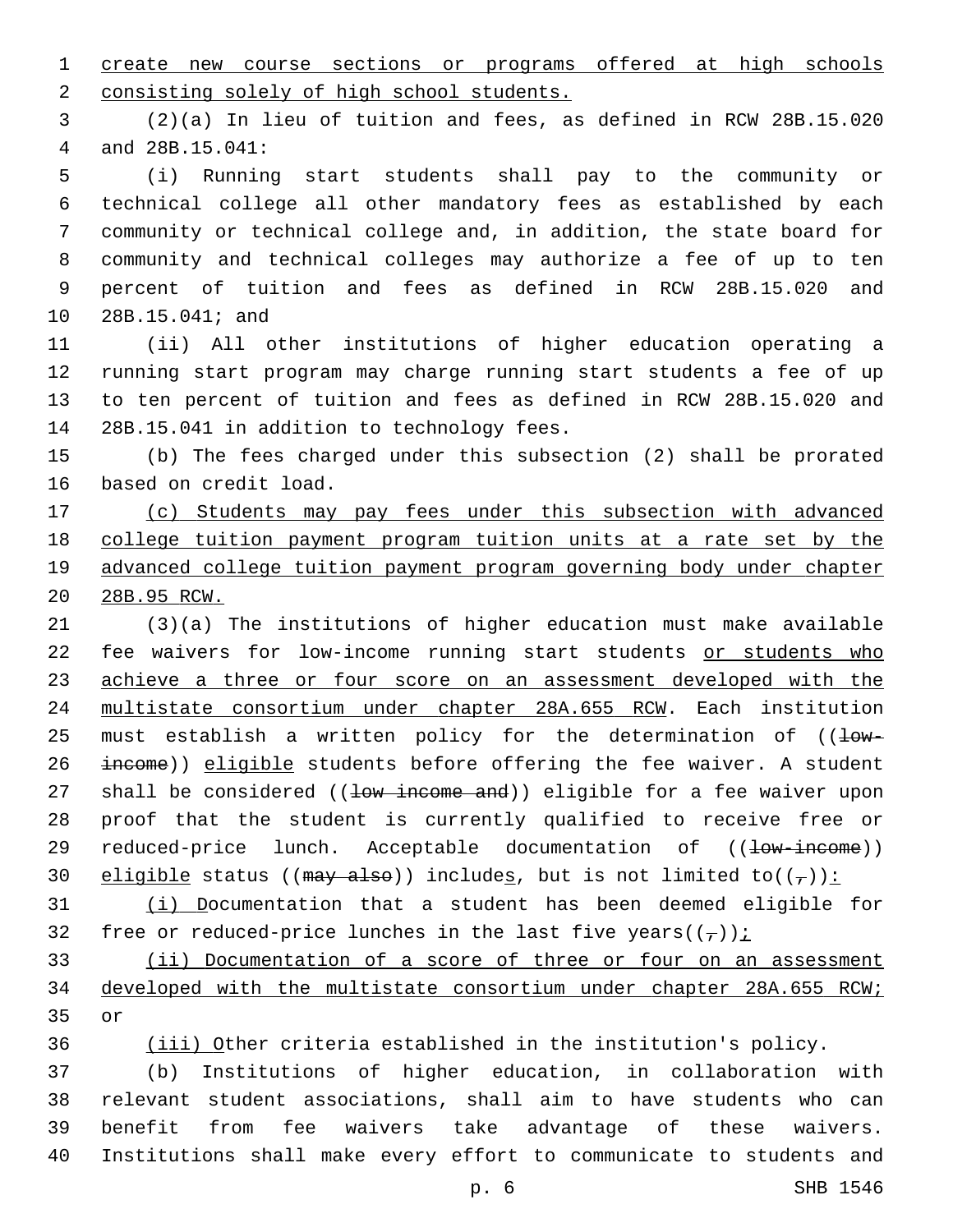create new course sections or programs offered at high schools 2 consisting solely of high school students.

 (2)(a) In lieu of tuition and fees, as defined in RCW 28B.15.020 and 28B.15.041:4

 (i) Running start students shall pay to the community or technical college all other mandatory fees as established by each community or technical college and, in addition, the state board for community and technical colleges may authorize a fee of up to ten percent of tuition and fees as defined in RCW 28B.15.020 and 10 28B.15.041; and

 (ii) All other institutions of higher education operating a running start program may charge running start students a fee of up to ten percent of tuition and fees as defined in RCW 28B.15.020 and 14 28B.15.041 in addition to technology fees.

 (b) The fees charged under this subsection (2) shall be prorated 16 based on credit load.

 (c) Students may pay fees under this subsection with advanced college tuition payment program tuition units at a rate set by the advanced college tuition payment program governing body under chapter 28B.95 RCW.

 (3)(a) The institutions of higher education must make available fee waivers for low-income running start students or students who 23 achieve a three or four score on an assessment developed with the multistate consortium under chapter 28A.655 RCW. Each institution 25 must establish a written policy for the determination of  $(1-w-$ 26 income)) eligible students before offering the fee waiver. A student 27 shall be considered ((low income and)) eligible for a fee waiver upon proof that the student is currently qualified to receive free or 29 reduced-price lunch. Acceptable documentation of ((<del>low-income</del>)) 30 eligible status (( $\frac{may - also}{t}$ ) includes, but is not limited to( $(\frac{1}{t})$ ):

 (i) Documentation that a student has been deemed eligible for 32 free or reduced-price lunches in the last five years( $(\tau)$ );

 (ii) Documentation of a score of three or four on an assessment developed with the multistate consortium under chapter 28A.655 RCW; 35 or

(iii) Other criteria established in the institution's policy.

 (b) Institutions of higher education, in collaboration with relevant student associations, shall aim to have students who can benefit from fee waivers take advantage of these waivers. Institutions shall make every effort to communicate to students and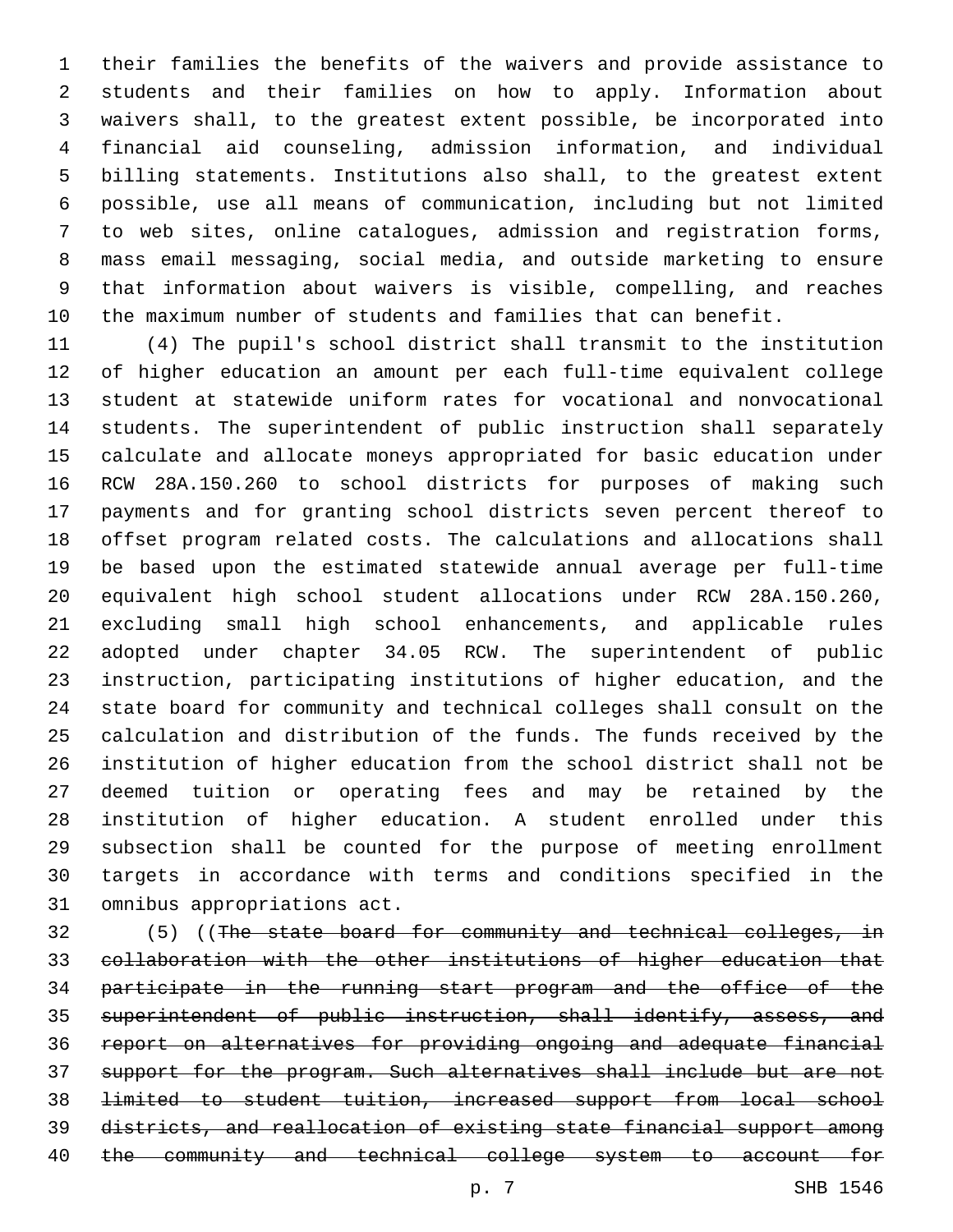their families the benefits of the waivers and provide assistance to students and their families on how to apply. Information about waivers shall, to the greatest extent possible, be incorporated into financial aid counseling, admission information, and individual billing statements. Institutions also shall, to the greatest extent possible, use all means of communication, including but not limited to web sites, online catalogues, admission and registration forms, mass email messaging, social media, and outside marketing to ensure that information about waivers is visible, compelling, and reaches the maximum number of students and families that can benefit.

 (4) The pupil's school district shall transmit to the institution of higher education an amount per each full-time equivalent college student at statewide uniform rates for vocational and nonvocational students. The superintendent of public instruction shall separately calculate and allocate moneys appropriated for basic education under RCW 28A.150.260 to school districts for purposes of making such payments and for granting school districts seven percent thereof to offset program related costs. The calculations and allocations shall be based upon the estimated statewide annual average per full-time equivalent high school student allocations under RCW 28A.150.260, excluding small high school enhancements, and applicable rules adopted under chapter 34.05 RCW. The superintendent of public instruction, participating institutions of higher education, and the state board for community and technical colleges shall consult on the calculation and distribution of the funds. The funds received by the institution of higher education from the school district shall not be deemed tuition or operating fees and may be retained by the institution of higher education. A student enrolled under this subsection shall be counted for the purpose of meeting enrollment targets in accordance with terms and conditions specified in the 31 omnibus appropriations act.

 (5) ((The state board for community and technical colleges, in collaboration with the other institutions of higher education that participate in the running start program and the office of the superintendent of public instruction, shall identify, assess, and report on alternatives for providing ongoing and adequate financial support for the program. Such alternatives shall include but are not limited to student tuition, increased support from local school districts, and reallocation of existing state financial support among the community and technical college system to account for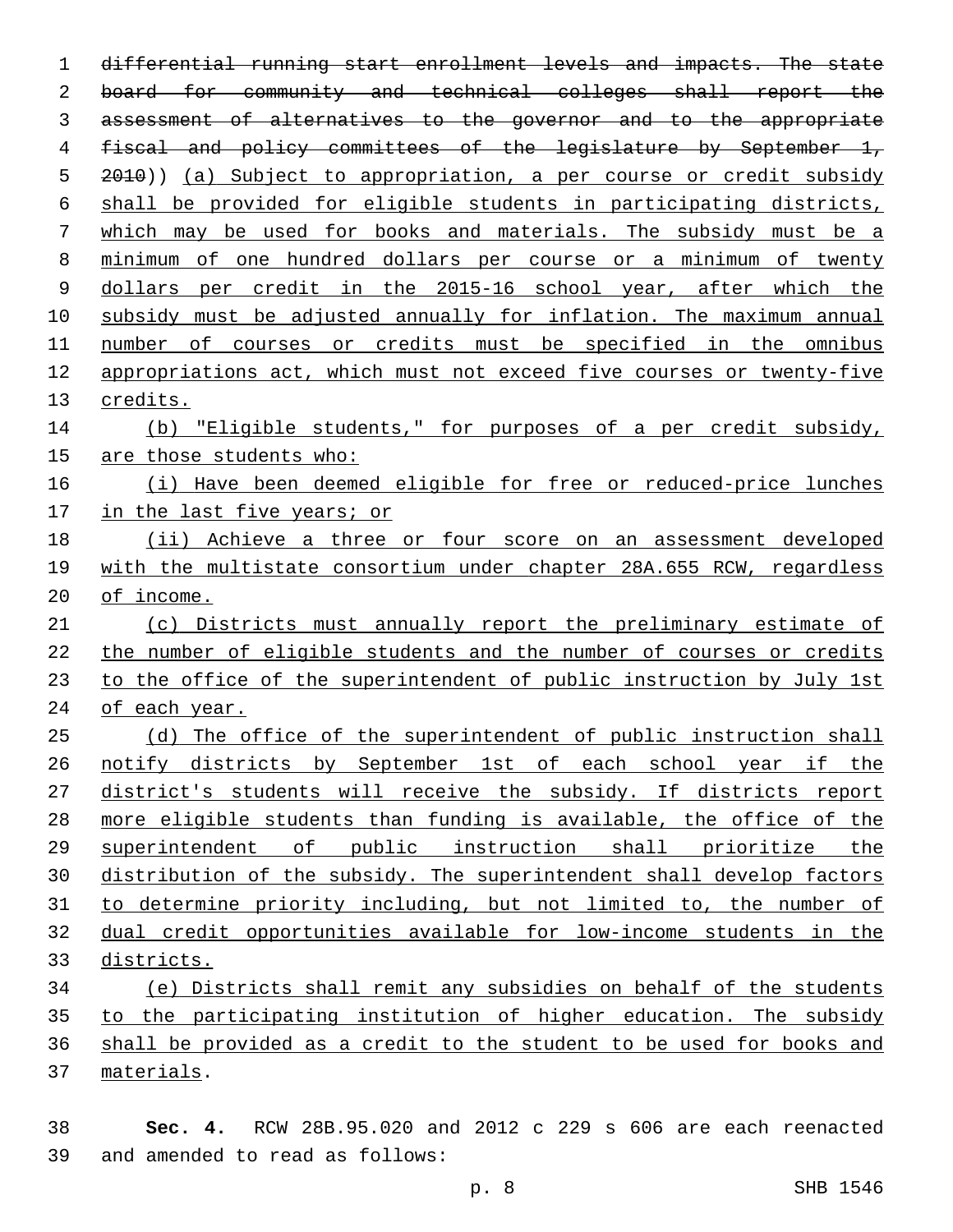differential running start enrollment levels and impacts. The state 2 board for community and technical colleges shall report the assessment of alternatives to the governor and to the appropriate 4 fiscal and policy committees of the legislature by September 1, 5 2010)) (a) Subject to appropriation, a per course or credit subsidy shall be provided for eligible students in participating districts, which may be used for books and materials. The subsidy must be a minimum of one hundred dollars per course or a minimum of twenty dollars per credit in the 2015-16 school year, after which the subsidy must be adjusted annually for inflation. The maximum annual number of courses or credits must be specified in the omnibus appropriations act, which must not exceed five courses or twenty-five 13 credits. (b) "Eligible students," for purposes of a per credit subsidy, are those students who: (i) Have been deemed eligible for free or reduced-price lunches in the last five years; or (ii) Achieve a three or four score on an assessment developed with the multistate consortium under chapter 28A.655 RCW, regardless of income. (c) Districts must annually report the preliminary estimate of the number of eligible students and the number of courses or credits to the office of the superintendent of public instruction by July 1st of each year. 25 (d) The office of the superintendent of public instruction shall notify districts by September 1st of each school year if the district's students will receive the subsidy. If districts report more eligible students than funding is available, the office of the superintendent of public instruction shall prioritize the distribution of the subsidy. The superintendent shall develop factors to determine priority including, but not limited to, the number of dual credit opportunities available for low-income students in the districts. (e) Districts shall remit any subsidies on behalf of the students 35 to the participating institution of higher education. The subsidy shall be provided as a credit to the student to be used for books and materials.37

 **Sec. 4.** RCW 28B.95.020 and 2012 c 229 s 606 are each reenacted 39 and amended to read as follows: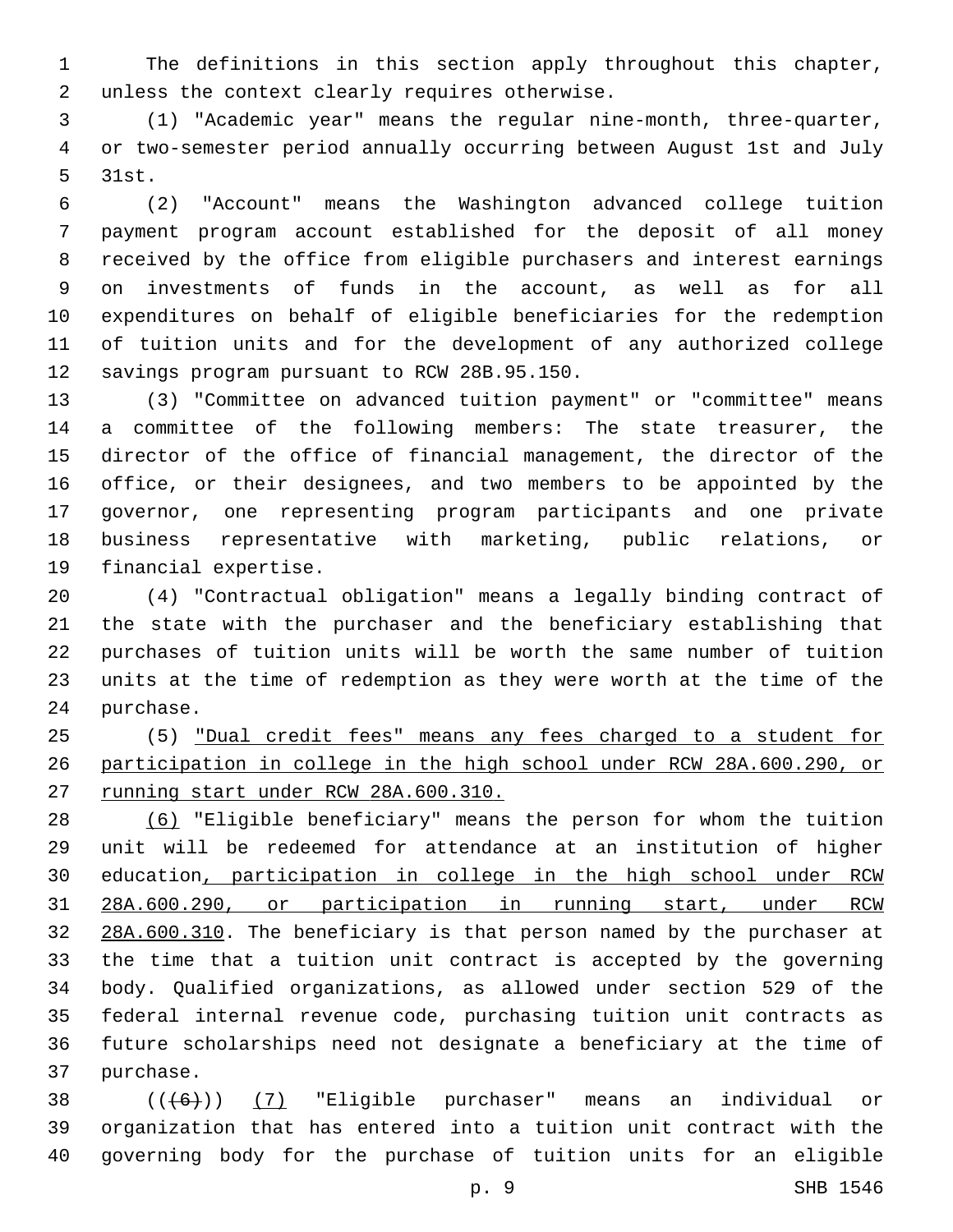The definitions in this section apply throughout this chapter, 2 unless the context clearly requires otherwise.

 (1) "Academic year" means the regular nine-month, three-quarter, or two-semester period annually occurring between August 1st and July 5 31st.

 (2) "Account" means the Washington advanced college tuition payment program account established for the deposit of all money received by the office from eligible purchasers and interest earnings on investments of funds in the account, as well as for all expenditures on behalf of eligible beneficiaries for the redemption of tuition units and for the development of any authorized college 12 savings program pursuant to RCW 28B.95.150.

 (3) "Committee on advanced tuition payment" or "committee" means a committee of the following members: The state treasurer, the director of the office of financial management, the director of the office, or their designees, and two members to be appointed by the governor, one representing program participants and one private business representative with marketing, public relations, or 19 financial expertise.

 (4) "Contractual obligation" means a legally binding contract of the state with the purchaser and the beneficiary establishing that purchases of tuition units will be worth the same number of tuition units at the time of redemption as they were worth at the time of the 24 purchase.

 (5) "Dual credit fees" means any fees charged to a student for participation in college in the high school under RCW 28A.600.290, or running start under RCW 28A.600.310.

 (6) "Eligible beneficiary" means the person for whom the tuition unit will be redeemed for attendance at an institution of higher education, participation in college in the high school under RCW 28A.600.290, or participation in running start, under RCW 32 28A.600.310. The beneficiary is that person named by the purchaser at the time that a tuition unit contract is accepted by the governing body. Qualified organizations, as allowed under section 529 of the federal internal revenue code, purchasing tuition unit contracts as future scholarships need not designate a beneficiary at the time of 37 purchase.

 ( $(\overline{6})$ ) (7) "Eligible purchaser" means an individual or organization that has entered into a tuition unit contract with the governing body for the purchase of tuition units for an eligible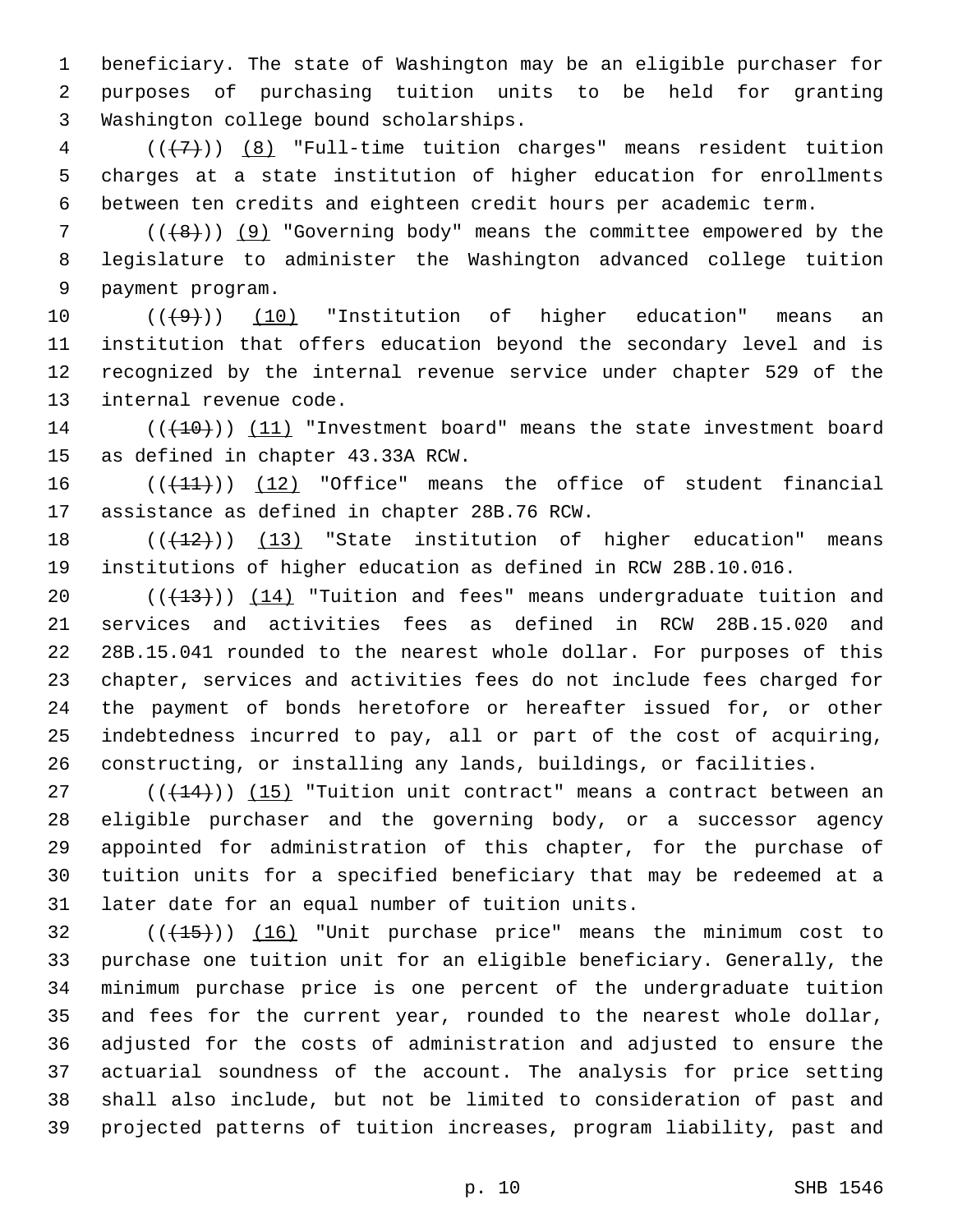beneficiary. The state of Washington may be an eligible purchaser for purposes of purchasing tuition units to be held for granting 3 Washington college bound scholarships.

 ( $(\overline{\overline{(7)}})$   $\overline{\phantom{7}}$  "Full-time tuition charges" means resident tuition charges at a state institution of higher education for enrollments between ten credits and eighteen credit hours per academic term.

 (( $(48)$ )) (9) "Governing body" means the committee empowered by the legislature to administer the Washington advanced college tuition 9 payment program.

 $((+9+))$   $(10)$  "Institution of higher education" means an institution that offers education beyond the secondary level and is recognized by the internal revenue service under chapter 529 of the 13 internal revenue code.

14 (( $(10)$ )) (11) "Investment board" means the state investment board 15 as defined in chapter 43.33A RCW.

16 (( $(11)$ )) (12) "Office" means the office of student financial 17 assistance as defined in chapter 28B.76 RCW.

18 (( $(12)$ )) (13) "State institution of higher education" means institutions of higher education as defined in RCW 28B.10.016.

 $((+13))$   $(14)$  "Tuition and fees" means undergraduate tuition and services and activities fees as defined in RCW 28B.15.020 and 28B.15.041 rounded to the nearest whole dollar. For purposes of this chapter, services and activities fees do not include fees charged for the payment of bonds heretofore or hereafter issued for, or other indebtedness incurred to pay, all or part of the cost of acquiring, constructing, or installing any lands, buildings, or facilities.

 ( $(\overline{+14})$ )  $(15)$  "Tuition unit contract" means a contract between an eligible purchaser and the governing body, or a successor agency appointed for administration of this chapter, for the purchase of tuition units for a specified beneficiary that may be redeemed at a 31 later date for an equal number of tuition units.

32 (( $(15)$ )) (16) "Unit purchase price" means the minimum cost to purchase one tuition unit for an eligible beneficiary. Generally, the minimum purchase price is one percent of the undergraduate tuition and fees for the current year, rounded to the nearest whole dollar, adjusted for the costs of administration and adjusted to ensure the actuarial soundness of the account. The analysis for price setting shall also include, but not be limited to consideration of past and projected patterns of tuition increases, program liability, past and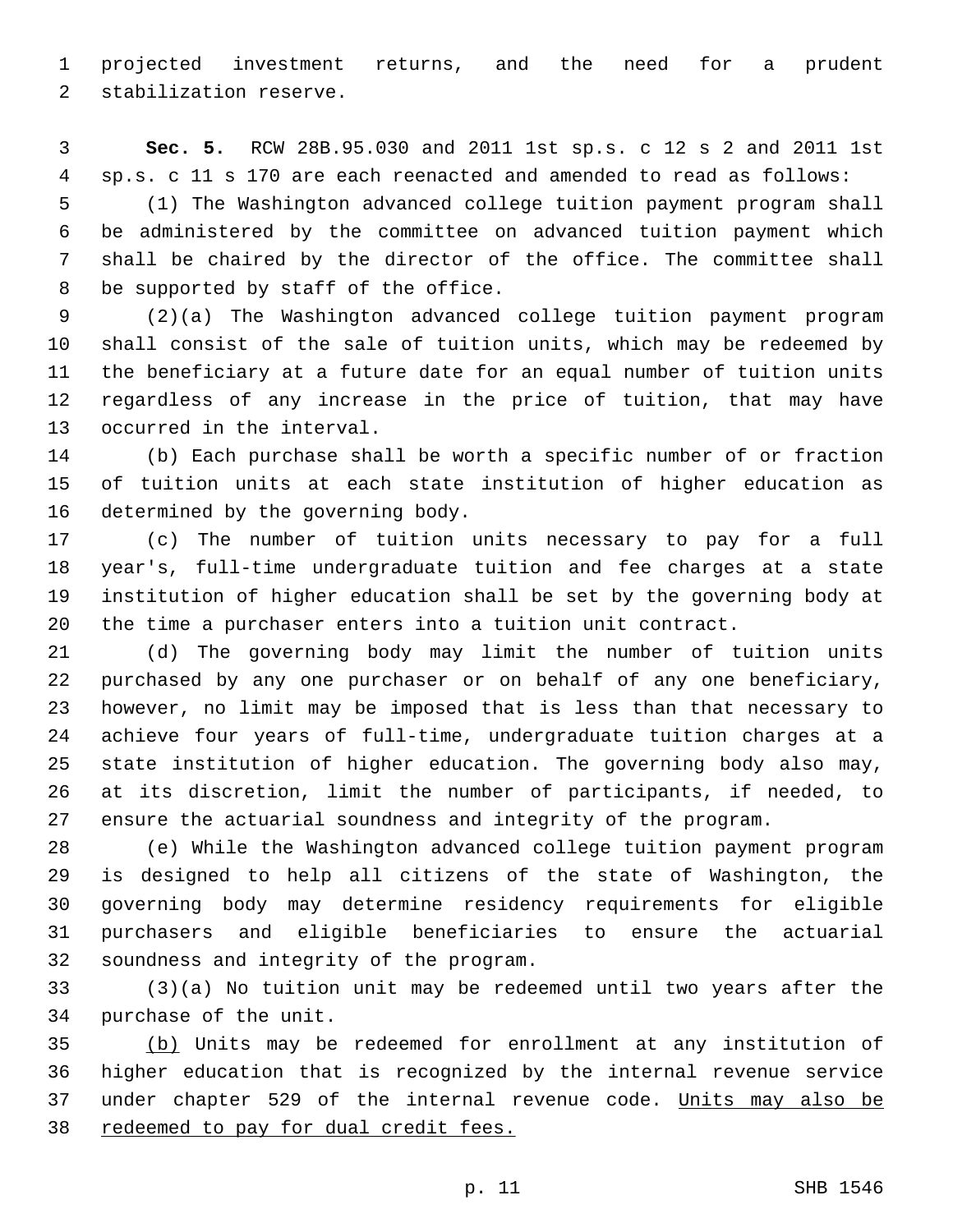projected investment returns, and the need for a prudent 2 stabilization reserve.

 **Sec. 5.** RCW 28B.95.030 and 2011 1st sp.s. c 12 s 2 and 2011 1st sp.s. c 11 s 170 are each reenacted and amended to read as follows:

 (1) The Washington advanced college tuition payment program shall be administered by the committee on advanced tuition payment which shall be chaired by the director of the office. The committee shall 8 be supported by staff of the office.

 (2)(a) The Washington advanced college tuition payment program shall consist of the sale of tuition units, which may be redeemed by the beneficiary at a future date for an equal number of tuition units regardless of any increase in the price of tuition, that may have 13 occurred in the interval.

 (b) Each purchase shall be worth a specific number of or fraction of tuition units at each state institution of higher education as 16 determined by the governing body.

 (c) The number of tuition units necessary to pay for a full year's, full-time undergraduate tuition and fee charges at a state institution of higher education shall be set by the governing body at the time a purchaser enters into a tuition unit contract.

 (d) The governing body may limit the number of tuition units purchased by any one purchaser or on behalf of any one beneficiary, however, no limit may be imposed that is less than that necessary to achieve four years of full-time, undergraduate tuition charges at a state institution of higher education. The governing body also may, at its discretion, limit the number of participants, if needed, to ensure the actuarial soundness and integrity of the program.

 (e) While the Washington advanced college tuition payment program is designed to help all citizens of the state of Washington, the governing body may determine residency requirements for eligible purchasers and eligible beneficiaries to ensure the actuarial 32 soundness and integrity of the program.

 (3)(a) No tuition unit may be redeemed until two years after the 34 purchase of the unit.

 (b) Units may be redeemed for enrollment at any institution of higher education that is recognized by the internal revenue service 37 under chapter 529 of the internal revenue code. Units may also be redeemed to pay for dual credit fees.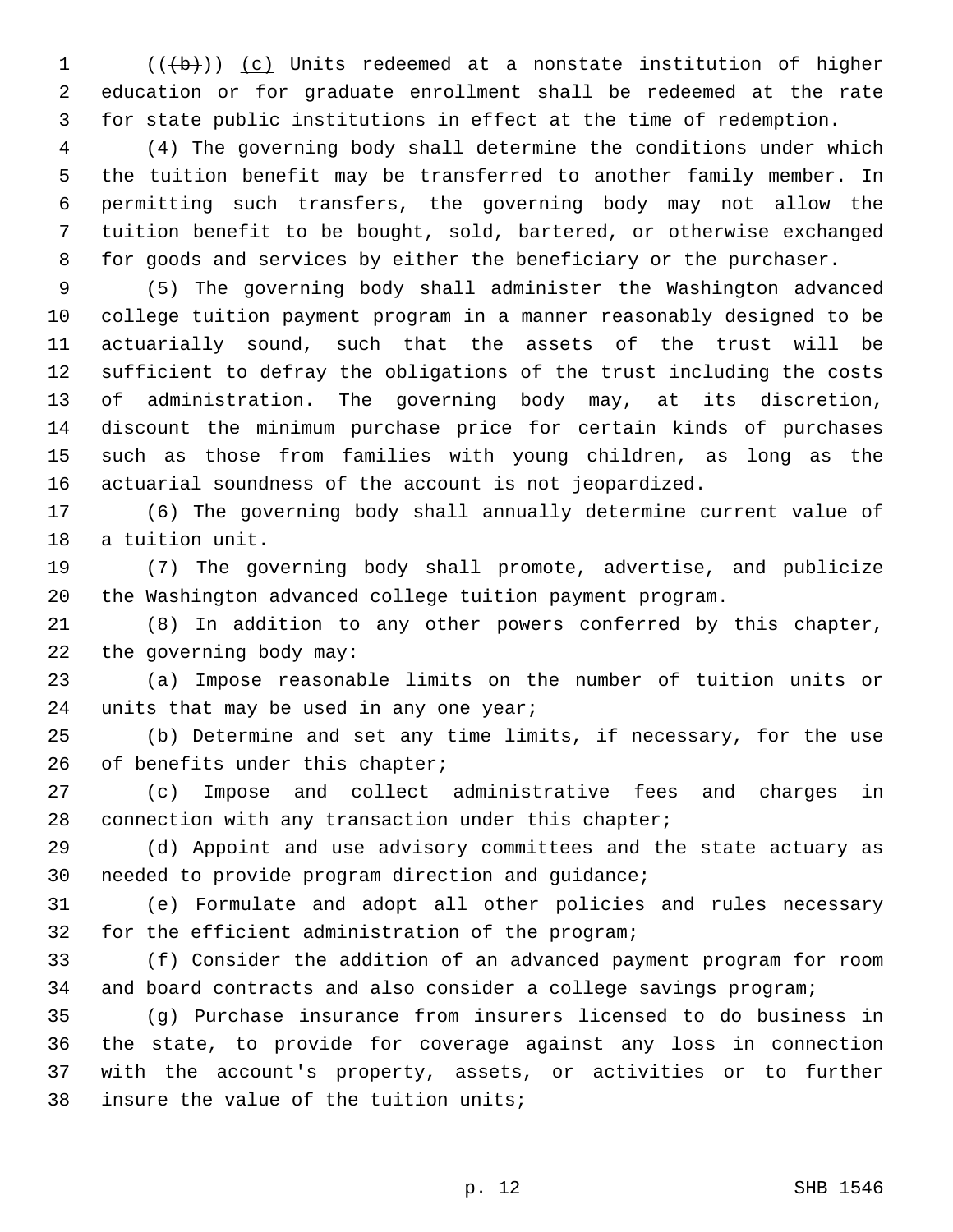(( $\left(\frac{1}{10}\right)$ ) (c) Units redeemed at a nonstate institution of higher education or for graduate enrollment shall be redeemed at the rate for state public institutions in effect at the time of redemption.

 (4) The governing body shall determine the conditions under which the tuition benefit may be transferred to another family member. In permitting such transfers, the governing body may not allow the tuition benefit to be bought, sold, bartered, or otherwise exchanged for goods and services by either the beneficiary or the purchaser.

 (5) The governing body shall administer the Washington advanced college tuition payment program in a manner reasonably designed to be actuarially sound, such that the assets of the trust will be sufficient to defray the obligations of the trust including the costs of administration. The governing body may, at its discretion, discount the minimum purchase price for certain kinds of purchases such as those from families with young children, as long as the actuarial soundness of the account is not jeopardized.

 (6) The governing body shall annually determine current value of 18 a tuition unit.

 (7) The governing body shall promote, advertise, and publicize the Washington advanced college tuition payment program.

 (8) In addition to any other powers conferred by this chapter, 22 the governing body  $may$ :

 (a) Impose reasonable limits on the number of tuition units or 24 units that may be used in any one year;

 (b) Determine and set any time limits, if necessary, for the use 26 of benefits under this chapter;

 (c) Impose and collect administrative fees and charges in connection with any transaction under this chapter;

 (d) Appoint and use advisory committees and the state actuary as 30 needed to provide program direction and guidance;

 (e) Formulate and adopt all other policies and rules necessary 32 for the efficient administration of the program;

 (f) Consider the addition of an advanced payment program for room and board contracts and also consider a college savings program;

 (g) Purchase insurance from insurers licensed to do business in the state, to provide for coverage against any loss in connection with the account's property, assets, or activities or to further 38 insure the value of the tuition units;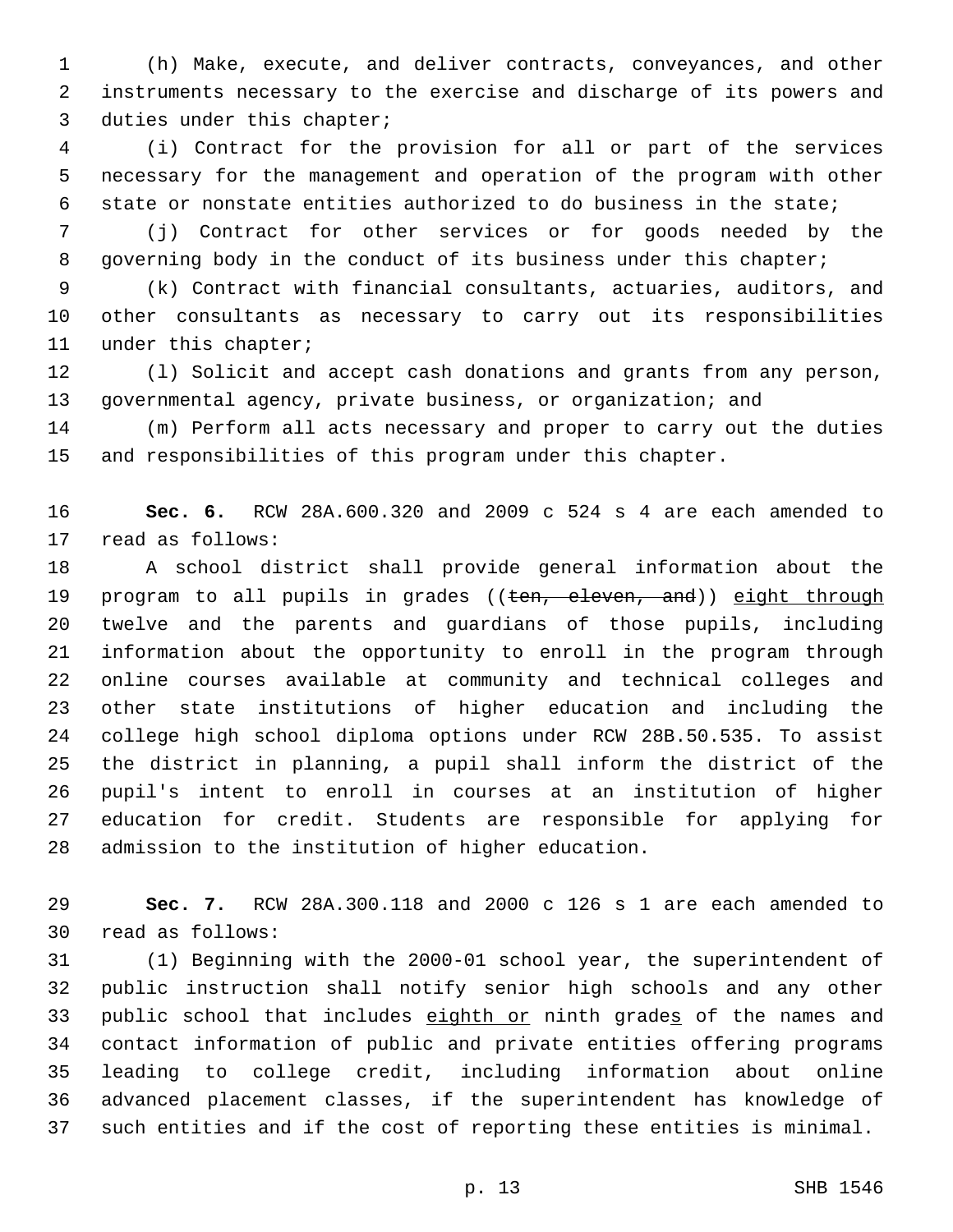(h) Make, execute, and deliver contracts, conveyances, and other instruments necessary to the exercise and discharge of its powers and 3 duties under this chapter;

 (i) Contract for the provision for all or part of the services necessary for the management and operation of the program with other state or nonstate entities authorized to do business in the state;

 (j) Contract for other services or for goods needed by the 8 governing body in the conduct of its business under this chapter;

 (k) Contract with financial consultants, actuaries, auditors, and other consultants as necessary to carry out its responsibilities 11 under this chapter;

 (l) Solicit and accept cash donations and grants from any person, governmental agency, private business, or organization; and

 (m) Perform all acts necessary and proper to carry out the duties and responsibilities of this program under this chapter.

 **Sec. 6.** RCW 28A.600.320 and 2009 c 524 s 4 are each amended to 17 read as follows:

 A school district shall provide general information about the 19 program to all pupils in grades ((ten, eleven, and)) eight through twelve and the parents and guardians of those pupils, including information about the opportunity to enroll in the program through online courses available at community and technical colleges and other state institutions of higher education and including the college high school diploma options under RCW 28B.50.535. To assist the district in planning, a pupil shall inform the district of the pupil's intent to enroll in courses at an institution of higher education for credit. Students are responsible for applying for 28 admission to the institution of higher education.

 **Sec. 7.** RCW 28A.300.118 and 2000 c 126 s 1 are each amended to read as follows:30

 (1) Beginning with the 2000-01 school year, the superintendent of public instruction shall notify senior high schools and any other 33 public school that includes eighth or ninth grades of the names and contact information of public and private entities offering programs leading to college credit, including information about online advanced placement classes, if the superintendent has knowledge of such entities and if the cost of reporting these entities is minimal.